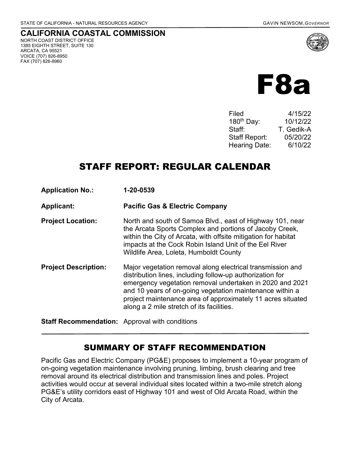NORTH COAST DISTRICT OFFICE 1385 EIGHTH STREET, SUITE 130

ARCATA, CA 95521 VOICE (707) 826-8950 FAX (707) 826-8960

**CALIFORNIA COASTAL COMMISSION**

F8a

Filed 4/15/22 180th Day: 10/12/22 Staff: T. Gedik-A Staff Report: 05/20/22 Hearing Date: 6/10/22

# STAFF REPORT: REGULAR CALENDAR

| <b>Application No.:</b>                               | 1-20-0539                                                                                                                                                                                                                                                                                                                                                   |
|-------------------------------------------------------|-------------------------------------------------------------------------------------------------------------------------------------------------------------------------------------------------------------------------------------------------------------------------------------------------------------------------------------------------------------|
| <b>Applicant:</b>                                     | <b>Pacific Gas &amp; Electric Company</b>                                                                                                                                                                                                                                                                                                                   |
| <b>Project Location:</b>                              | North and south of Samoa Blvd., east of Highway 101, near<br>the Arcata Sports Complex and portions of Jacoby Creek,<br>within the City of Arcata, with offsite mitigation for habitat<br>impacts at the Cock Robin Island Unit of the Eel River<br>Wildlife Area, Loleta, Humboldt County                                                                  |
| <b>Project Description:</b>                           | Major vegetation removal along electrical transmission and<br>distribution lines, including follow-up authorization for<br>emergency vegetation removal undertaken in 2020 and 2021<br>and 10 years of on-going vegetation maintenance within a<br>project maintenance area of approximately 11 acres situated<br>along a 2 mile stretch of its facilities. |
| <b>Staff Recommendation:</b> Approval with conditions |                                                                                                                                                                                                                                                                                                                                                             |

# SUMMARY OF STAFF RECOMMENDATION

Pacific Gas and Electric Company (PG&E) proposes to implement a 10-year program of on-going vegetation maintenance involving pruning, limbing, brush clearing and tree removal around its electrical distribution and transmission lines and poles. Project activities would occur at several individual sites located within a two-mile stretch along PG&E's utility corridors east of Highway 101 and west of Old Arcata Road, within the City of Arcata.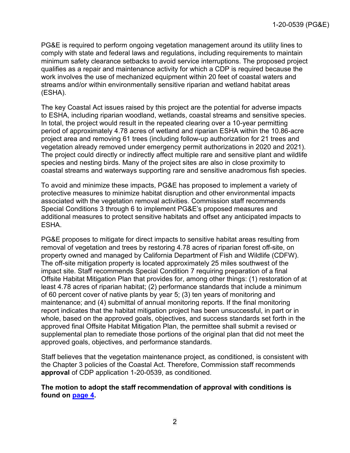PG&E is required to perform ongoing vegetation management around its utility lines to comply with state and federal laws and regulations, including requirements to maintain minimum safety clearance setbacks to avoid service interruptions. The proposed project qualifies as a repair and maintenance activity for which a CDP is required because the work involves the use of mechanized equipment within 20 feet of coastal waters and streams and/or within environmentally sensitive riparian and wetland habitat areas (ESHA).

The key Coastal Act issues raised by this project are the potential for adverse impacts to ESHA, including riparian woodland, wetlands, coastal streams and sensitive species. In total, the project would result in the repeated clearing over a 10-year permitting period of approximately 4.78 acres of wetland and riparian ESHA within the 10.86-acre project area and removing 61 trees (including follow-up authorization for 21 trees and vegetation already removed under emergency permit authorizations in 2020 and 2021). The project could directly or indirectly affect multiple rare and sensitive plant and wildlife species and nesting birds. Many of the project sites are also in close proximity to coastal streams and waterways supporting rare and sensitive anadromous fish species.

To avoid and minimize these impacts, PG&E has proposed to implement a variety of protective measures to minimize habitat disruption and other environmental impacts associated with the vegetation removal activities. Commission staff recommends Special Conditions 3 through 6 to implement PG&E's proposed measures and additional measures to protect sensitive habitats and offset any anticipated impacts to ESHA.

PG&E proposes to mitigate for direct impacts to sensitive habitat areas resulting from removal of vegetation and trees by restoring 4.78 acres of riparian forest off-site, on property owned and managed by California Department of Fish and Wildlife (CDFW). The off-site mitigation property is located approximately 25 miles southwest of the impact site. Staff recommends Special Condition 7 requiring preparation of a final Offsite Habitat Mitigation Plan that provides for, among other things: (1) restoration of at least 4.78 acres of riparian habitat; (2) performance standards that include a minimum of 60 percent cover of native plants by year 5; (3) ten years of monitoring and maintenance; and (4) submittal of annual monitoring reports. If the final monitoring report indicates that the habitat mitigation project has been unsuccessful, in part or in whole, based on the approved goals, objectives, and success standards set forth in the approved final Offsite Habitat Mitigation Plan, the permittee shall submit a revised or supplemental plan to remediate those portions of the original plan that did not meet the approved goals, objectives, and performance standards.

Staff believes that the vegetation maintenance project, as conditioned, is consistent with the Chapter 3 policies of the Coastal Act. Therefore, Commission staff recommends **approval** of CDP application 1-20-0539, as conditioned.

#### **The motion to adopt the staff recommendation of approval with conditions is found on [page 4](#page-3-0).**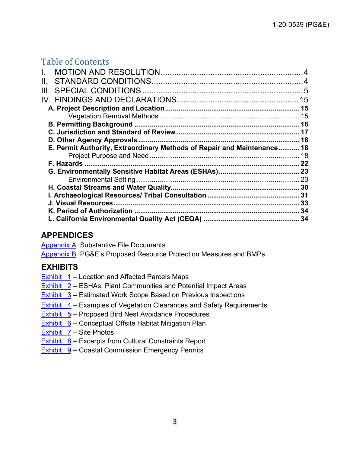# Table of Contents

| L.                                                                      |    |
|-------------------------------------------------------------------------|----|
| II.                                                                     |    |
|                                                                         |    |
|                                                                         |    |
|                                                                         |    |
|                                                                         |    |
|                                                                         |    |
|                                                                         |    |
|                                                                         | 18 |
| E. Permit Authority, Extraordinary Methods of Repair and Maintenance 18 |    |
|                                                                         |    |
|                                                                         |    |
|                                                                         |    |
|                                                                         |    |
|                                                                         |    |
|                                                                         | 31 |
|                                                                         | 33 |
|                                                                         | 34 |
|                                                                         |    |
|                                                                         |    |

# **APPENDICES**

[Appendix A.](https://documents.coastal.ca.gov/reports/2022/6/f8a/f8a-6-2022-appendix.pdf) Substantive File Documents

[Appendix B.](https://documents.coastal.ca.gov/reports/2022/6/f8a/f8a-6-2022-appendix.pdf) PG&E's Proposed Resource Protection Measures and BMPs

# **EXHIBITS**

- [Exhibit 1](https://documents.coastal.ca.gov/reports/2022/6/f8a/f8a-6-2022-exhibits.pdf)  Location and Affected Parcels Maps
- [Exhibit 2](https://documents.coastal.ca.gov/reports/2022/6/f8a/f8a-6-2022-exhibits.pdf)  ESHAs, Plant Communities and Potential Impact Areas
- **Exhibit 3** Estimated Work Scope Based on Previous Inspections
- [Exhibit 4](https://documents.coastal.ca.gov/reports/2022/6/f8a/f8a-6-2022-exhibits.pdf)  Examples of Vegetation Clearances and Safety Requirements
- $Exhibit 5 Exhibit 5 -$  Proposed Bird Nest Avoidance Procedures
- Exhibit  $6$  Conceptual Offsite Habitat Mitigation Plan
- Exhibit  $7 -$  Site Photos
- **[Exhibit 8](https://documents.coastal.ca.gov/reports/2022/6/f8a/f8a-6-2022-exhibits.pdf)  Excerpts from Cultural Constraints Report**
- [Exhibit 9](https://documents.coastal.ca.gov/reports/2022/6/f8a/f8a-6-2022-exhibits.pdf)  Coastal Commission Emergency Permits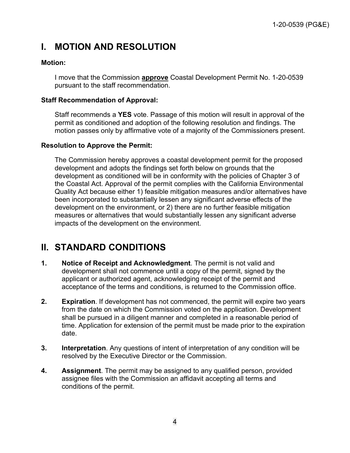# <span id="page-3-0"></span>**I. MOTION AND RESOLUTION**

#### **Motion:**

I move that the Commission **approve** Coastal Development Permit No. 1-20-0539 pursuant to the staff recommendation.

#### **Staff Recommendation of Approval:**

Staff recommends a **YES** vote. Passage of this motion will result in approval of the permit as conditioned and adoption of the following resolution and findings. The motion passes only by affirmative vote of a majority of the Commissioners present.

#### **Resolution to Approve the Permit:**

The Commission hereby approves a coastal development permit for the proposed development and adopts the findings set forth below on grounds that the development as conditioned will be in conformity with the policies of Chapter 3 of the Coastal Act. Approval of the permit complies with the California Environmental Quality Act because either 1) feasible mitigation measures and/or alternatives have been incorporated to substantially lessen any significant adverse effects of the development on the environment, or 2) there are no further feasible mitigation measures or alternatives that would substantially lessen any significant adverse impacts of the development on the environment.

# <span id="page-3-1"></span>**II. STANDARD CONDITIONS**

- **1. Notice of Receipt and Acknowledgment**. The permit is not valid and development shall not commence until a copy of the permit, signed by the applicant or authorized agent, acknowledging receipt of the permit and acceptance of the terms and conditions, is returned to the Commission office.
- **2. Expiration**. If development has not commenced, the permit will expire two years from the date on which the Commission voted on the application. Development shall be pursued in a diligent manner and completed in a reasonable period of time. Application for extension of the permit must be made prior to the expiration date.
- **3. Interpretation**. Any questions of intent of interpretation of any condition will be resolved by the Executive Director or the Commission.
- **4. Assignment**. The permit may be assigned to any qualified person, provided assignee files with the Commission an affidavit accepting all terms and conditions of the permit.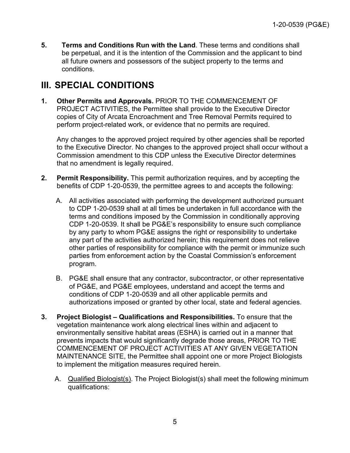**5. Terms and Conditions Run with the Land**. These terms and conditions shall be perpetual, and it is the intention of the Commission and the applicant to bind all future owners and possessors of the subject property to the terms and conditions.

# <span id="page-4-0"></span>**III. SPECIAL CONDITIONS**

<span id="page-4-1"></span>**1. Other Permits and Approvals.** PRIOR TO THE COMMENCEMENT OF PROJECT ACTIVITIES, the Permittee shall provide to the Executive Director copies of City of Arcata Encroachment and Tree Removal Permits required to perform project-related work, or evidence that no permits are required.

Any changes to the approved project required by other agencies shall be reported to the Executive Director. No changes to the approved project shall occur without a Commission amendment to this CDP unless the Executive Director determines that no amendment is legally required.

- **2. Permit Responsibility.** This permit authorization requires, and by accepting the benefits of CDP 1-20-0539, the permittee agrees to and accepts the following:
	- A. All activities associated with performing the development authorized pursuant to CDP 1-20-0539 shall at all times be undertaken in full accordance with the terms and conditions imposed by the Commission in conditionally approving CDP 1-20-0539. It shall be PG&E's responsibility to ensure such compliance by any party to whom PG&E assigns the right or responsibility to undertake any part of the activities authorized herein; this requirement does not relieve other parties of responsibility for compliance with the permit or immunize such parties from enforcement action by the Coastal Commission's enforcement program.
	- B. PG&E shall ensure that any contractor, subcontractor, or other representative of PG&E, and PG&E employees, understand and accept the terms and conditions of CDP 1-20-0539 and all other applicable permits and authorizations imposed or granted by other local, state and federal agencies.
- <span id="page-4-2"></span>**3. Project Biologist – Qualifications and Responsibilities.** To ensure that the vegetation maintenance work along electrical lines within and adjacent to environmentally sensitive habitat areas (ESHA) is carried out in a manner that prevents impacts that would significantly degrade those areas, PRIOR TO THE COMMENCEMENT OF PROJECT ACTIVITIES AT ANY GIVEN VEGETATION MAINTENANCE SITE, the Permittee shall appoint one or more Project Biologists to implement the mitigation measures required herein.
	- A. Qualified Biologist(s). The Project Biologist(s) shall meet the following minimum qualifications: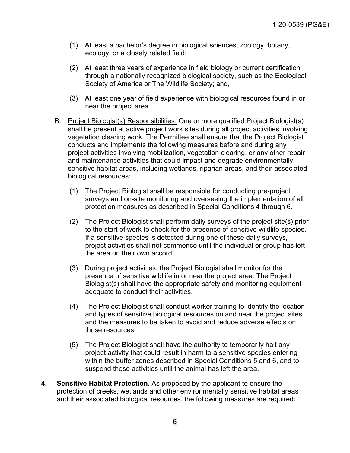- (1) At least a bachelor's degree in biological sciences, zoology, botany, ecology, or a closely related field;
- (2) At least three years of experience in field biology or current certification through a nationally recognized biological society, such as the Ecological Society of America or The Wildlife Society; and,
- (3) At least one year of field experience with biological resources found in or near the project area.
- B. Project Biologist(s) Responsibilities. One or more qualified Project Biologist(s) shall be present at active project work sites during all project activities involving vegetation clearing work. The Permittee shall ensure that the Project Biologist conducts and implements the following measures before and during any project activities involving mobilization, vegetation clearing, or any other repair and maintenance activities that could impact and degrade environmentally sensitive habitat areas, including wetlands, riparian areas, and their associated biological resources:
	- (1) The Project Biologist shall be responsible for conducting pre-project surveys and on-site monitoring and overseeing the implementation of all protection measures as described in Special Conditions 4 through 6.
	- (2) The Project Biologist shall perform daily surveys of the project site(s) prior to the start of work to check for the presence of sensitive wildlife species. If a sensitive species is detected during one of these daily surveys, project activities shall not commence until the individual or group has left the area on their own accord.
	- (3) During project activities, the Project Biologist shall monitor for the presence of sensitive wildlife in or near the project area. The Project Biologist(s) shall have the appropriate safety and monitoring equipment adequate to conduct their activities.
	- (4) The Project Biologist shall conduct worker training to identify the location and types of sensitive biological resources on and near the project sites and the measures to be taken to avoid and reduce adverse effects on those resources.
	- (5) The Project Biologist shall have the authority to temporarily halt any project activity that could result in harm to a sensitive species entering within the buffer zones described in Special Conditions 5 and 6, and to suspend those activities until the animal has left the area.
- <span id="page-5-0"></span>**4. Sensitive Habitat Protection.** As proposed by the applicant to ensure the protection of creeks, wetlands and other environmentally sensitive habitat areas and their associated biological resources, the following measures are required: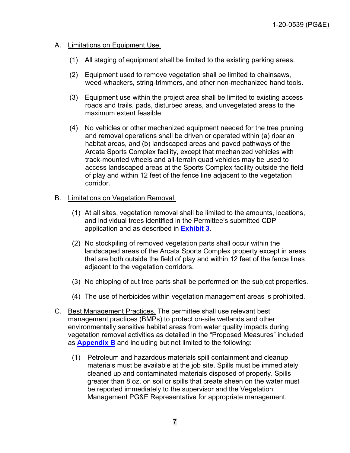#### A. Limitations on Equipment Use.

- (1) All staging of equipment shall be limited to the existing parking areas.
- (2) Equipment used to remove vegetation shall be limited to chainsaws, weed-whackers, string-trimmers, and other non-mechanized hand tools.
- (3) Equipment use within the project area shall be limited to existing access roads and trails, pads, disturbed areas, and unvegetated areas to the maximum extent feasible.
- (4) No vehicles or other mechanized equipment needed for the tree pruning and removal operations shall be driven or operated within (a) riparian habitat areas, and (b) landscaped areas and paved pathways of the Arcata Sports Complex facility, except that mechanized vehicles with track-mounted wheels and all-terrain quad vehicles may be used to access landscaped areas at the Sports Complex facility outside the field of play and within 12 feet of the fence line adjacent to the vegetation corridor.

#### B. Limitations on Vegetation Removal.

- (1) At all sites, vegetation removal shall be limited to the amounts, locations, and individual trees identified in the Permittee's submitted CDP application and as described in **[Exhibit 3](https://documents.coastal.ca.gov/reports/2022/6/f8a/f8a-6-2022-exhibits.pdf)**.
- (2) No stockpiling of removed vegetation parts shall occur within the landscaped areas of the Arcata Sports Complex property except in areas that are both outside the field of play and within 12 feet of the fence lines adjacent to the vegetation corridors.
- (3) No chipping of cut tree parts shall be performed on the subject properties.
- (4) The use of herbicides within vegetation management areas is prohibited.
- C. Best Management Practices. The permittee shall use relevant best management practices (BMPs) to protect on-site wetlands and other environmentally sensitive habitat areas from water quality impacts during vegetation removal activities as detailed in the "Proposed Measures" included as **[Appendix B](https://documents.coastal.ca.gov/reports/2022/6/f8a/f8a-6-2022-appendix.pdf)** and including but not limited to the following:
	- (1) Petroleum and hazardous materials spill containment and cleanup materials must be available at the job site. Spills must be immediately cleaned up and contaminated materials disposed of properly. Spills greater than 8 oz. on soil or spills that create sheen on the water must be reported immediately to the supervisor and the Vegetation Management PG&E Representative for appropriate management.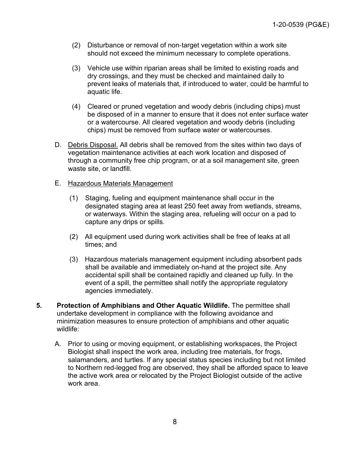- (2) Disturbance or removal of non‐target vegetation within a work site should not exceed the minimum necessary to complete operations.
- (3) Vehicle use within riparian areas shall be limited to existing roads and dry crossings, and they must be checked and maintained daily to prevent leaks of materials that, if introduced to water, could be harmful to aquatic life.
- (4) Cleared or pruned vegetation and woody debris (including chips) must be disposed of in a manner to ensure that it does not enter surface water or a watercourse. All cleared vegetation and woody debris (including chips) must be removed from surface water or watercourses.
- D. Debris Disposal. All debris shall be removed from the sites within two days of vegetation maintenance activities at each work location and disposed of through a community free chip program, or at a soil management site, green waste site, or landfill.
- E. Hazardous Materials Management
	- (1) Staging, fueling and equipment maintenance shall occur in the designated staging area at least 250 feet away from wetlands, streams, or waterways. Within the staging area, refueling will occur on a pad to capture any drips or spills.
	- (2) All equipment used during work activities shall be free of leaks at all times; and
	- (3) Hazardous materials management equipment including absorbent pads shall be available and immediately on-hand at the project site. Any accidental spill shall be contained rapidly and cleaned up fully. In the event of a spill, the permittee shall notify the appropriate regulatory agencies immediately.
- <span id="page-7-0"></span>**5. Protection of Amphibians and Other Aquatic Wildlife.** The permittee shall undertake development in compliance with the following avoidance and minimization measures to ensure protection of amphibians and other aquatic wildlife:
	- A. Prior to using or moving equipment, or establishing workspaces, the Project Biologist shall inspect the work area, including tree materials, for frogs, salamanders, and turtles. If any special status species including but not limited to Northern red-legged frog are observed, they shall be afforded space to leave the active work area or relocated by the Project Biologist outside of the active work area.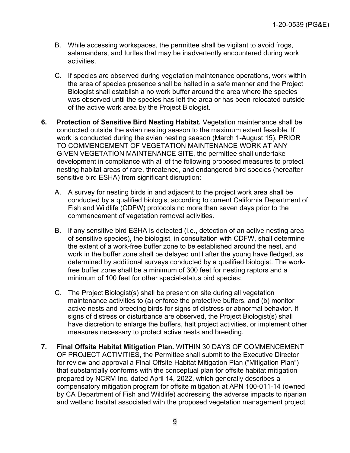- B. While accessing workspaces, the permittee shall be vigilant to avoid frogs, salamanders, and turtles that may be inadvertently encountered during work activities.
- C. If species are observed during vegetation maintenance operations, work within the area of species presence shall be halted in a safe manner and the Project Biologist shall establish a no work buffer around the area where the species was observed until the species has left the area or has been relocated outside of the active work area by the Project Biologist.
- **6. Protection of Sensitive Bird Nesting Habitat.** Vegetation maintenance shall be conducted outside the avian nesting season to the maximum extent feasible. If work is conducted during the avian nesting season (March 1-August 15), PRIOR TO COMMENCEMENT OF VEGETATION MAINTENANCE WORK AT ANY GIVEN VEGETATION MAINTENANCE SITE, the permittee shall undertake development in compliance with all of the following proposed measures to protect nesting habitat areas of rare, threatened, and endangered bird species (hereafter sensitive bird ESHA) from significant disruption:
	- A. A survey for nesting birds in and adjacent to the project work area shall be conducted by a qualified biologist according to current California Department of Fish and Wildlife (CDFW) protocols no more than seven days prior to the commencement of vegetation removal activities.
	- B. If any sensitive bird ESHA is detected (i.e., detection of an active nesting area of sensitive species), the biologist, in consultation with CDFW, shall determine the extent of a work-free buffer zone to be established around the nest, and work in the buffer zone shall be delayed until after the young have fledged, as determined by additional surveys conducted by a qualified biologist. The workfree buffer zone shall be a minimum of 300 feet for nesting raptors and a minimum of 100 feet for other special-status bird species;
	- C. The Project Biologist(s) shall be present on site during all vegetation maintenance activities to (a) enforce the protective buffers, and (b) monitor active nests and breeding birds for signs of distress or abnormal behavior. If signs of distress or disturbance are observed, the Project Biologist(s) shall have discretion to enlarge the buffers, halt project activities, or implement other measures necessary to protect active nests and breeding.
- <span id="page-8-0"></span>**7. Final Offsite Habitat Mitigation Plan.** WITHIN 30 DAYS OF COMMENCEMENT OF PROJECT ACTIVITIES, the Permittee shall submit to the Executive Director for review and approval a Final Offsite Habitat Mitigation Plan ("Mitigation Plan") that substantially conforms with the conceptual plan for offsite habitat mitigation prepared by NCRM Inc. dated April 14, 2022, which generally describes a compensatory mitigation program for offsite mitigation at APN 100-011-14 (owned by CA Department of Fish and Wildlife) addressing the adverse impacts to riparian and wetland habitat associated with the proposed vegetation management project.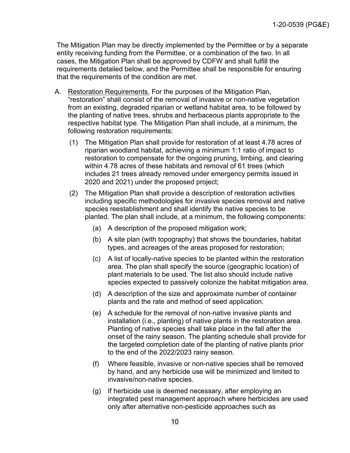The Mitigation Plan may be directly implemented by the Permittee or by a separate entity receiving funding from the Permittee, or a combination of the two. In all cases, the Mitigation Plan shall be approved by CDFW and shall fulfill the requirements detailed below, and the Permittee shall be responsible for ensuring that the requirements of the condition are met.

- A. Restoration Requirements. For the purposes of the Mitigation Plan, "restoration" shall consist of the removal of invasive or non-native vegetation from an existing, degraded riparian or wetland habitat area, to be followed by the planting of native trees, shrubs and herbaceous plants appropriate to the respective habitat type. The Mitigation Plan shall include, at a minimum, the following restoration requirements:
	- (1) The Mitigation Plan shall provide for restoration of at least 4.78 acres of riparian woodland habitat, achieving a minimum 1:1 ratio of impact to restoration to compensate for the ongoing pruning, limbing, and clearing within 4.78 acres of these habitats and removal of 61 trees (which includes 21 trees already removed under emergency permits issued in 2020 and 2021) under the proposed project;
	- (2) The Mitigation Plan shall provide a description of restoration activities including specific methodologies for invasive species removal and native species reestablishment and shall identify the native species to be planted. The plan shall include, at a minimum, the following components:
		- (a) A description of the proposed mitigation work;
		- (b) A site plan (with topography) that shows the boundaries, habitat types, and acreages of the areas proposed for restoration;
		- (c) A list of locally-native species to be planted within the restoration area. The plan shall specify the source (geographic location) of plant materials to be used. The list also should include native species expected to passively colonize the habitat mitigation area.
		- (d) A description of the size and approximate number of container plants and the rate and method of seed application.
		- (e) A schedule for the removal of non-native invasive plants and installation (i.e., planting) of native plants in the restoration area. Planting of native species shall take place in the fall after the onset of the rainy season. The planting schedule shall provide for the targeted completion date of the planting of native plants prior to the end of the 2022/2023 rainy season.
		- (f) Where feasible, invasive or non-native species shall be removed by hand, and any herbicide use will be minimized and limited to invasive/non-native species.
		- (g) If herbicide use is deemed necessary, after employing an integrated pest management approach where herbicides are used only after alternative non-pesticide approaches such as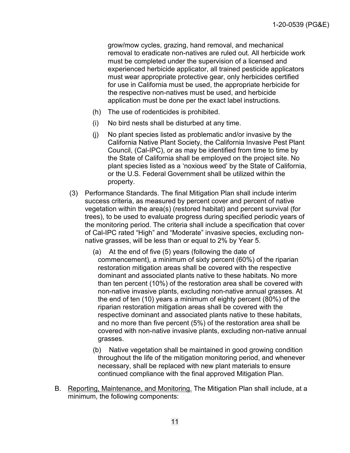grow/mow cycles, grazing, hand removal, and mechanical removal to eradicate non-natives are ruled out. All herbicide work must be completed under the supervision of a licensed and experienced herbicide applicator, all trained pesticide applicators must wear appropriate protective gear, only herbicides certified for use in California must be used, the appropriate herbicide for the respective non-natives must be used, and herbicide application must be done per the exact label instructions.

- <span id="page-10-0"></span>(h) The use of rodenticides is prohibited.
- (i) No bird nests shall be disturbed at any time.
- (j) No plant species listed as problematic and/or invasive by the California Native Plant Society, the California Invasive Pest Plant Council, (Cal-IPC), or as may be identified from time to time by the State of California shall be employed on the project site. No plant species listed as a 'noxious weed' by the State of California, or the U.S. Federal Government shall be utilized within the property.
- (3) Performance Standards. The final Mitigation Plan shall include interim success criteria, as measured by percent cover and percent of native vegetation within the area(s) (restored habitat) and percent survival (for trees), to be used to evaluate progress during specified periodic years of the monitoring period. The criteria shall include a specification that cover of Cal-IPC rated "High" and "Moderate" invasive species, excluding nonnative grasses, will be less than or equal to 2% by Year 5.
	- (a) At the end of five (5) years (following the date of commencement), a minimum of sixty percent (60%) of the riparian restoration mitigation areas shall be covered with the respective dominant and associated plants native to these habitats. No more than ten percent (10%) of the restoration area shall be covered with non-native invasive plants, excluding non-native annual grasses. At the end of ten (10) years a minimum of eighty percent (80%) of the riparian restoration mitigation areas shall be covered with the respective dominant and associated plants native to these habitats, and no more than five percent (5%) of the restoration area shall be covered with non-native invasive plants, excluding non-native annual grasses.
	- (b) Native vegetation shall be maintained in good growing condition throughout the life of the mitigation monitoring period, and whenever necessary, shall be replaced with new plant materials to ensure continued compliance with the final approved Mitigation Plan.
- B. Reporting, Maintenance, and Monitoring. The Mitigation Plan shall include, at a minimum, the following components: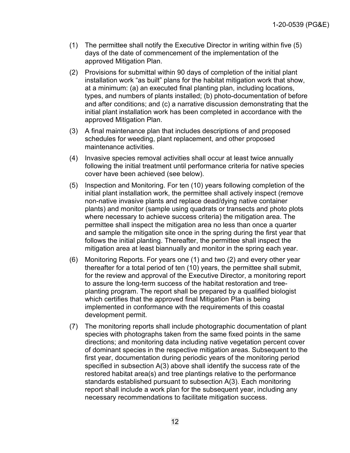- (1) The permittee shall notify the Executive Director in writing within five (5) days of the date of commencement of the implementation of the approved Mitigation Plan.
- (2) Provisions for submittal within 90 days of completion of the initial plant installation work "as built" plans for the habitat mitigation work that show, at a minimum: (a) an executed final planting plan, including locations, types, and numbers of plants installed; (b) photo-documentation of before and after conditions; and (c) a narrative discussion demonstrating that the initial plant installation work has been completed in accordance with the approved Mitigation Plan.
- (3) A final maintenance plan that includes descriptions of and proposed schedules for weeding, plant replacement, and other proposed maintenance activities.
- (4) Invasive species removal activities shall occur at least twice annually following the initial treatment until performance criteria for native species cover have been achieved (see below).
- (5) Inspection and Monitoring. For ten (10) years following completion of the initial plant installation work, the permittee shall actively inspect (remove non-native invasive plants and replace dead/dying native container plants) and monitor (sample using quadrats or transects and photo plots where necessary to achieve success criteria) the mitigation area. The permittee shall inspect the mitigation area no less than once a quarter and sample the mitigation site once in the spring during the first year that follows the initial planting. Thereafter, the permittee shall inspect the mitigation area at least biannually and monitor in the spring each year.
- (6) Monitoring Reports. For years one (1) and two (2) and every other year thereafter for a total period of ten (10) years, the permittee shall submit, for the review and approval of the Executive Director, a monitoring report to assure the long-term success of the habitat restoration and treeplanting program. The report shall be prepared by a qualified biologist which certifies that the approved final Mitigation Plan is being implemented in conformance with the requirements of this coastal development permit.
- (7) The monitoring reports shall include photographic documentation of plant species with photographs taken from the same fixed points in the same directions; and monitoring data including native vegetation percent cover of dominant species in the respective mitigation areas. Subsequent to the first year, documentation during periodic years of the monitoring period specified in subsection A(3) above shall identify the success rate of the restored habitat area(s) and tree plantings relative to the performance standards established pursuant to subsection A(3). Each monitoring report shall include a work plan for the subsequent year, including any necessary recommendations to facilitate mitigation success.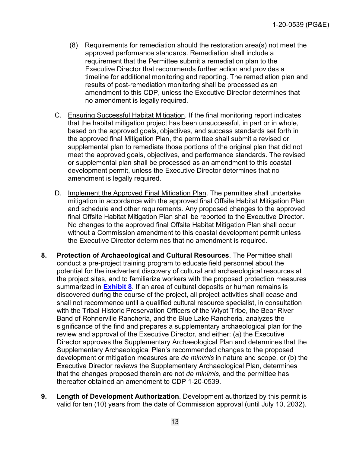- (8) Requirements for remediation should the restoration area(s) not meet the approved performance standards. Remediation shall include a requirement that the Permittee submit a remediation plan to the Executive Director that recommends further action and provides a timeline for additional monitoring and reporting. The remediation plan and results of post-remediation monitoring shall be processed as an amendment to this CDP, unless the Executive Director determines that no amendment is legally required.
- C. Ensuring Successful Habitat Mitigation. If the final monitoring report indicates that the habitat mitigation project has been unsuccessful, in part or in whole, based on the approved goals, objectives, and success standards set forth in the approved final Mitigation Plan, the permittee shall submit a revised or supplemental plan to remediate those portions of the original plan that did not meet the approved goals, objectives, and performance standards. The revised or supplemental plan shall be processed as an amendment to this coastal development permit, unless the Executive Director determines that no amendment is legally required.
- D. Implement the Approved Final Mitigation Plan. The permittee shall undertake mitigation in accordance with the approved final Offsite Habitat Mitigation Plan and schedule and other requirements. Any proposed changes to the approved final Offsite Habitat Mitigation Plan shall be reported to the Executive Director. No changes to the approved final Offsite Habitat Mitigation Plan shall occur without a Commission amendment to this coastal development permit unless the Executive Director determines that no amendment is required.
- <span id="page-12-0"></span>**8. Protection of Archaeological and Cultural Resources**. The Permittee shall conduct a pre-project training program to educate field personnel about the potential for the inadvertent discovery of cultural and archaeological resources at the project sites, and to familiarize workers with the proposed protection measures summarized in **[Exhibit 8](https://documents.coastal.ca.gov/reports/2022/6/f8a/f8a-6-2022-exhibits.pdf)**. If an area of cultural deposits or human remains is discovered during the course of the project, all project activities shall cease and shall not recommence until a qualified cultural resource specialist, in consultation with the Tribal Historic Preservation Officers of the Wiyot Tribe, the Bear River Band of Rohnerville Rancheria, and the Blue Lake Rancheria, analyzes the significance of the find and prepares a supplementary archaeological plan for the review and approval of the Executive Director, and either: (a) the Executive Director approves the Supplementary Archaeological Plan and determines that the Supplementary Archaeological Plan's recommended changes to the proposed development or mitigation measures are *de minimis* in nature and scope, or (b) the Executive Director reviews the Supplementary Archaeological Plan, determines that the changes proposed therein are not *de minimis*, and the permittee has thereafter obtained an amendment to CDP 1-20-0539.
- **9. Length of Development Authorization**. Development authorized by this permit is valid for ten (10) years from the date of Commission approval (until July 10, 2032).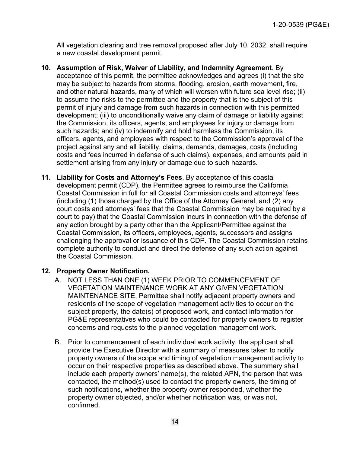All vegetation clearing and tree removal proposed after July 10, 2032, shall require a new coastal development permit.

- <span id="page-13-1"></span>**10. Assumption of Risk, Waiver of Liability, and Indemnity Agreement**. By acceptance of this permit, the permittee acknowledges and agrees (i) that the site may be subject to hazards from storms, flooding, erosion, earth movement, fire, and other natural hazards, many of which will worsen with future sea level rise; (ii) to assume the risks to the permittee and the property that is the subject of this permit of injury and damage from such hazards in connection with this permitted development; (iii) to unconditionally waive any claim of damage or liability against the Commission, its officers, agents, and employees for injury or damage from such hazards; and (iv) to indemnify and hold harmless the Commission, its officers, agents, and employees with respect to the Commission's approval of the project against any and all liability, claims, demands, damages, costs (including costs and fees incurred in defense of such claims), expenses, and amounts paid in settlement arising from any injury or damage due to such hazards.
- <span id="page-13-0"></span>**11. Liability for Costs and Attorney's Fees**. By acceptance of this coastal development permit (CDP), the Permittee agrees to reimburse the California Coastal Commission in full for all Coastal Commission costs and attorneys' fees (including (1) those charged by the Office of the Attorney General, and (2) any court costs and attorneys' fees that the Coastal Commission may be required by a court to pay) that the Coastal Commission incurs in connection with the defense of any action brought by a party other than the Applicant/Permittee against the Coastal Commission, its officers, employees, agents, successors and assigns challenging the approval or issuance of this CDP. The Coastal Commission retains complete authority to conduct and direct the defense of any such action against the Coastal Commission.

### **12. Property Owner Notification.**

- A. NOT LESS THAN ONE (1) WEEK PRIOR TO COMMENCEMENT OF VEGETATION MAINTENANCE WORK AT ANY GIVEN VEGETATION MAINTENANCE SITE, Permittee shall notify adjacent property owners and residents of the scope of vegetation management activities to occur on the subject property, the date(s) of proposed work, and contact information for PG&E representatives who could be contacted for property owners to register concerns and requests to the planned vegetation management work.
- B. Prior to commencement of each individual work activity, the applicant shall provide the Executive Director with a summary of measures taken to notify property owners of the scope and timing of vegetation management activity to occur on their respective properties as described above. The summary shall include each property owners' name(s), the related APN, the person that was contacted, the method(s) used to contact the property owners, the timing of such notifications, whether the property owner responded, whether the property owner objected, and/or whether notification was, or was not, confirmed.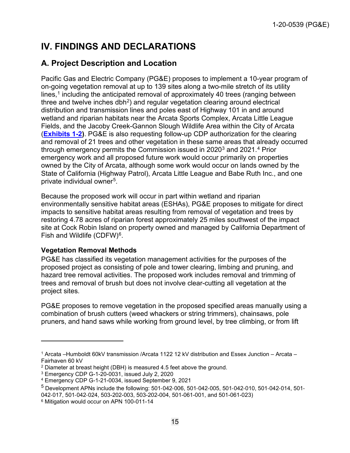# <span id="page-14-0"></span>**IV. FINDINGS AND DECLARATIONS**

# <span id="page-14-1"></span>**A. Project Description and Location**

Pacific Gas and Electric Company (PG&E) proposes to implement a 10-year program of on-going vegetation removal at up to 139 sites along a two-mile stretch of its utility lines,<sup>[1](#page-14-3)</sup> including the anticipated removal of approximately 40 trees (ranging between three and twelve inches  $dbh^2$  $dbh^2$ ) and regular vegetation clearing around electrical distribution and transmission lines and poles east of Highway 101 in and around wetland and riparian habitats near the Arcata Sports Complex, Arcata Little League Fields, and the Jacoby Creek-Gannon Slough Wildlife Area within the City of Arcata (**[Exhibits 1-2\)](https://documents.coastal.ca.gov/reports/2022/6/f8a/f8a-6-2022-exhibits.pdf)**. PG&E is also requesting follow-up CDP authorization for the clearing and removal of 21 trees and other vegetation in these same areas that already occurred through emergency permits the Commission issued in 2020 $^3$  $^3$  and 2021. $^4$  $^4$  Prior emergency work and all proposed future work would occur primarily on properties owned by the City of Arcata, although some work would occur on lands owned by the State of California (Highway Patrol), Arcata Little League and Babe Ruth Inc., and one private individual owner[5](#page-14-7).

Because the proposed work will occur in part within wetland and riparian environmentally sensitive habitat areas (ESHAs), PG&E proposes to mitigate for direct impacts to sensitive habitat areas resulting from removal of vegetation and trees by restoring 4.78 acres of riparian forest approximately 25 miles southwest of the impact site at Cock Robin Island on property owned and managed by California Department of Fish and Wildlife (CDFW)<sup>[6](#page-14-8)</sup>.

### <span id="page-14-2"></span>**Vegetation Removal Methods**

PG&E has classified its vegetation management activities for the purposes of the proposed project as consisting of pole and tower clearing, limbing and pruning, and hazard tree removal activities. The proposed work includes removal and trimming of trees and removal of brush but does not involve clear-cutting all vegetation at the project sites.

PG&E proposes to remove vegetation in the proposed specified areas manually using a combination of brush cutters (weed whackers or string trimmers), chainsaws, pole pruners, and hand saws while working from ground level, by tree climbing, or from lift

<span id="page-14-3"></span><sup>1</sup> Arcata –Humboldt 60kV transmission /Arcata 1122 12 kV distribution and Essex Junction – Arcata – Fairhaven 60 kV

<span id="page-14-4"></span><sup>&</sup>lt;sup>2</sup> Diameter at breast height (DBH) is measured 4.5 feet above the ground.<br><sup>3</sup> Emergency CDP G-1-20-0031, issued July 2, 2020

<span id="page-14-5"></span>

<span id="page-14-6"></span><sup>4</sup> Emergency CDP G-1-21-0034, issued September 9, 2021

<span id="page-14-7"></span><sup>5</sup> Development APNs include the following: 501‐042‐006, 501‐042‐005, 501‐042‐010, 501‐042‐014, 501‐ 042‐017, 501‐042‐024, 503-202-003, 503-202-004, 501-061-001, and 501-061-023)

<span id="page-14-8"></span><sup>6</sup> Mitigation would occur on APN 100-011-14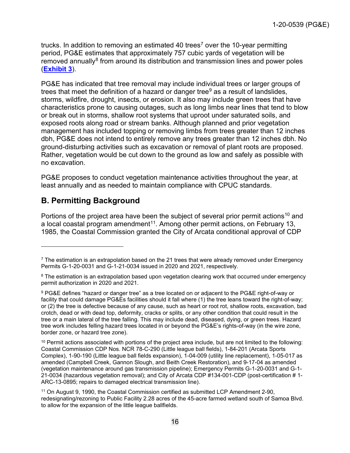trucks. In addition to removing an estimated 40 trees<sup>[7](#page-15-1)</sup> over the 10-year permitting period, PG&E estimates that approximately 757 cubic yards of vegetation will be removed annually $8$  from around its distribution and transmission lines and power poles (**[Exhibit 3](https://documents.coastal.ca.gov/reports/2022/6/f8a/f8a-6-2022-exhibits.pdf)**).

PG&E has indicated that tree removal may include individual trees or larger groups of trees that meet the definition of a hazard or danger tree $9$  as a result of landslides, storms, wildfire, drought, insects, or erosion. It also may include green trees that have characteristics prone to causing outages, such as long limbs near lines that tend to blow or break out in storms, shallow root systems that uproot under saturated soils, and exposed roots along road or stream banks. Although planned and prior vegetation management has included topping or removing limbs from trees greater than 12 inches dbh, PG&E does not intend to entirely remove any trees greater than 12 inches dbh. No ground-disturbing activities such as excavation or removal of plant roots are proposed. Rather, vegetation would be cut down to the ground as low and safely as possible with no excavation.

PG&E proposes to conduct vegetation maintenance activities throughout the year, at least annually and as needed to maintain compliance with CPUC standards.

# <span id="page-15-0"></span>**B. Permitting Background**

Portions of the project area have been the subject of several prior permit actions<sup>[10](#page-15-4)</sup> and a local coastal program amendment<sup>[11](#page-15-5)</sup>. Among other permit actions, on February 13, 1985, the Coastal Commission granted the City of Arcata conditional approval of CDP

<span id="page-15-1"></span> $7$  The estimation is an extrapolation based on the 21 trees that were already removed under Emergency Permits G-1-20-0031 and G-1-21-0034 issued in 2020 and 2021, respectively.

<span id="page-15-2"></span><sup>&</sup>lt;sup>8</sup> The estimation is an extrapolation based upon vegetation clearing work that occurred under emergency permit authorization in 2020 and 2021.

<span id="page-15-3"></span><sup>9</sup> PG&E defines "hazard or danger tree" as a tree located on or adjacent to the PG&E right-of-way or facility that could damage PG&Es facilities should it fall where (1) the tree leans toward the right-of-way; or (2) the tree is defective because of any cause, such as heart or root rot, shallow roots, excavation, bad crotch, dead or with dead top, deformity, cracks or splits, or any other condition that could result in the tree or a main lateral of the tree falling. This may include dead, diseased, dying, or green trees. Hazard tree work includes felling hazard trees located in or beyond the PG&E's rights-of-way (in the wire zone, border zone, or hazard tree zone).

<span id="page-15-4"></span><sup>10</sup> Permit actions associated with portions of the project area include, but are not limited to the following: Coastal Commission CDP Nos. NCR 78-C-290 (Little league ball fields), 1-84-201 (Arcata Sports Complex), 1-90-190 (Little league ball fields expansion), 1-04-009 (utility line replacement), 1-05-017 as amended (Campbell Creek, Gannon Slough, and Beith Creek Restoration), and 9-17-04 as amended (vegetation maintenance around gas transmission pipeline); Emergency Permits G-1-20-0031 and G-1- 21-0034 (hazardous vegetation removal); and City of Arcata CDP #134-001-CDP (post-certification # 1- ARC-13-0895; repairs to damaged electrical transmission line).

<span id="page-15-5"></span><sup>11</sup> On August 9, 1990, the Coastal Commission certified as submitted LCP Amendment 2-90, redesignating/rezoning to Public Facility 2.28 acres of the 45-acre farmed wetland south of Samoa Blvd. to allow for the expansion of the little league ballfields.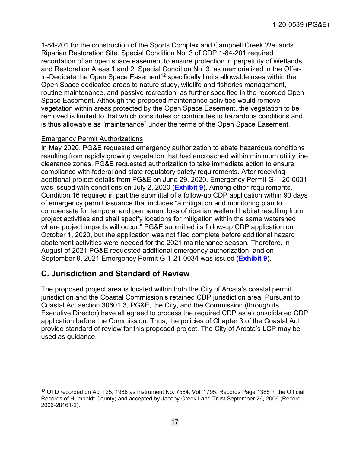1-84-201 for the construction of the Sports Complex and Campbell Creek Wetlands Riparian Restoration Site. Special Condition No. 3 of CDP 1-84-201 required recordation of an open space easement to ensure protection in perpetuity of Wetlands and Restoration Areas 1 and 2. Special Condition No. 3, as memorialized in the Offer-to-Dedicate the Open Space Easement<sup>[12](#page-16-1)</sup> specifically limits allowable uses within the Open Space dedicated areas to nature study, wildlife and fisheries management, routine maintenance, and passive recreation, as further specified in the recorded Open Space Easement. Although the proposed maintenance activities would remove vegetation within areas protected by the Open Space Easement, the vegetation to be removed is limited to that which constitutes or contributes to hazardous conditions and is thus allowable as "maintenance" under the terms of the Open Space Easement.

#### Emergency Permit Authorizations

In May 2020, PG&E requested emergency authorization to abate hazardous conditions resulting from rapidly growing vegetation that had encroached within minimum utility line clearance zones. PG&E requested authorization to take immediate action to ensure compliance with federal and state regulatory safety requirements. After receiving additional project details from PG&E on June 29, 2020, Emergency Permit G-1-20-0031 was issued with conditions on July 2, 2020 (**[Exhibit 9](https://documents.coastal.ca.gov/reports/2022/6/f8a/f8a-6-2022-exhibits.pdf)**). Among other requirements, Condition 16 required in part the submittal of a follow-up CDP application within 90 days of emergency permit issuance that includes "a mitigation and monitoring plan to compensate for temporal and permanent loss of riparian wetland habitat resulting from project activities and shall specify locations for mitigation within the same watershed where project impacts will occur." PG&E submitted its follow-up CDP application on October 1, 2020, but the application was not filed complete before additional hazard abatement activities were needed for the 2021 maintenance season. Therefore, in August of 2021 PG&E requested additional emergency authorization, and on September 9, 2021 Emergency Permit G-1-21-0034 was issued (**[Exhibit 9](https://documents.coastal.ca.gov/reports/2022/6/f8a/f8a-6-2022-exhibits.pdf)**).

### <span id="page-16-0"></span>**C. Jurisdiction and Standard of Review**

The proposed project area is located within both the City of Arcata's coastal permit jurisdiction and the Coastal Commission's retained CDP jurisdiction area. Pursuant to Coastal Act section 30601.3, PG&E, the City, and the Commission (through its Executive Director) have all agreed to process the required CDP as a consolidated CDP application before the Commission. Thus, the policies of Chapter 3 of the Coastal Act provide standard of review for this proposed project. The City of Arcata's LCP may be used as guidance.

<span id="page-16-1"></span><sup>12</sup> OTD recorded on April 25, 1986 as Instrument No. 7584, Vol. 1795, Records Page 1385 in the Official Records of Humboldt County) and accepted by Jacoby Creek Land Trust September 26, 2006 (Record 2006-28161-2).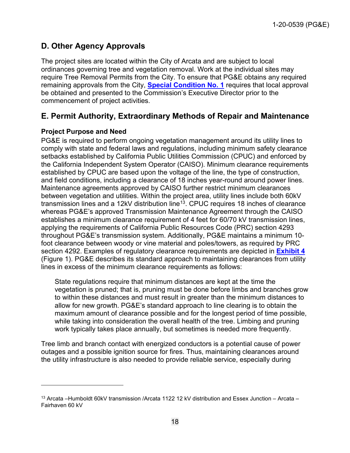# <span id="page-17-0"></span>**D. Other Agency Approvals**

The project sites are located within the City of Arcata and are subject to local ordinances governing tree and vegetation removal. Work at the individual sites may require Tree Removal Permits from the City. To ensure that PG&E obtains any required remaining approvals from the City, **[Special Condition No. 1](#page-4-1)** requires that local approval be obtained and presented to the Commission's Executive Director prior to the commencement of project activities.

# <span id="page-17-1"></span>**E. Permit Authority, Extraordinary Methods of Repair and Maintenance**

### <span id="page-17-2"></span>**Project Purpose and Need**

PG&E is required to perform ongoing vegetation management around its utility lines to comply with state and federal laws and regulations, including minimum safety clearance setbacks established by California Public Utilities Commission (CPUC) and enforced by the California Independent System Operator (CAISO). Minimum clearance requirements established by CPUC are based upon the voltage of the line, the type of construction, and field conditions, including a clearance of 18 inches year-round around power lines. Maintenance agreements approved by CAISO further restrict minimum clearances between vegetation and utilities. Within the project area, utility lines include both 60kV transmission lines and a 12kV distribution line<sup>[13](#page-17-3)</sup>. CPUC requires 18 inches of clearance whereas PG&E's approved Transmission Maintenance Agreement through the CAISO establishes a minimum clearance requirement of 4 feet for 60/70 kV transmission lines, applying the requirements of California Public Resources Code (PRC) section 4293 throughout PG&E's transmission system. Additionally, PG&E maintains a minimum 10 foot clearance between woody or vine material and poles/towers, as required by PRC section 4292. Examples of regulatory clearance requirements are depicted in **[Exhibit 4](https://documents.coastal.ca.gov/reports/2022/6/f8a/f8a-6-2022-exhibits.pdf)** (Figure 1). PG&E describes its standard approach to maintaining clearances from utility lines in excess of the minimum clearance requirements as follows:

State regulations require that minimum distances are kept at the time the vegetation is pruned; that is, pruning must be done before limbs and branches grow to within these distances and must result in greater than the minimum distances to allow for new growth. PG&E's standard approach to line clearing is to obtain the maximum amount of clearance possible and for the longest period of time possible, while taking into consideration the overall health of the tree. Limbing and pruning work typically takes place annually, but sometimes is needed more frequently.

Tree limb and branch contact with energized conductors is a potential cause of power outages and a possible ignition source for fires. Thus, maintaining clearances around the utility infrastructure is also needed to provide reliable service, especially during

<span id="page-17-3"></span><sup>13</sup> Arcata –Humboldt 60kV transmission /Arcata 1122 12 kV distribution and Essex Junction – Arcata – Fairhaven 60 kV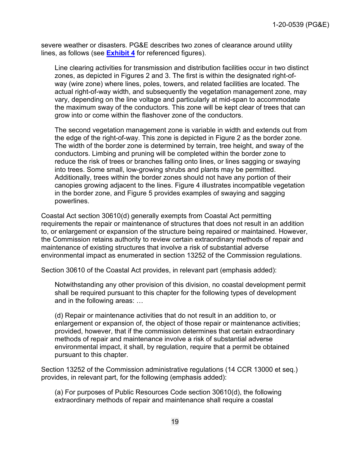severe weather or disasters. PG&E describes two zones of clearance around utility lines, as follows (see **[Exhibit 4](https://documents.coastal.ca.gov/reports/2022/6/f8a/f8a-6-2022-exhibits.pdf)** for referenced figures).

Line clearing activities for transmission and distribution facilities occur in two distinct zones, as depicted in Figures 2 and [3.](#page-14-2) The first is within the designated right-ofway (wire zone) where lines, poles, towers, and related facilities are located. The actual right-of-way width, and subsequently the vegetation management zone, may vary, depending on the line voltage and particularly at mid-span to accommodate the maximum sway of the conductors. This zone will be kept clear of trees that can grow into or come within the flashover zone of the conductors.

The second vegetation management zone is variable in width and extends out from the edge of the right-of-way. This zone is depicted in Figure 2 as the border zone. The width of the border zone is determined by terrain, tree height, and sway of the conductors. Limbing and pruning will be completed within the border zone to reduce the risk of trees or branches falling onto lines, or lines sagging or swaying into trees. Some small, low-growing shrubs and plants may be permitted. Additionally, trees within the border zones should not have any portion of their canopies growing adjacent to the lines. Figure 4 illustrates incompatible vegetation in the border zone, and Figure 5 provides examples of swaying and sagging powerlines.

Coastal Act section 30610(d) generally exempts from Coastal Act permitting requirements the repair or maintenance of structures that does not result in an addition to, or enlargement or expansion of the structure being repaired or maintained. However, the Commission retains authority to review certain extraordinary methods of repair and maintenance of existing structures that involve a risk of substantial adverse environmental impact as enumerated in section 13252 of the Commission regulations.

Section 30610 of the Coastal Act provides, in relevant part (emphasis added):

Notwithstanding any other provision of this division, no coastal development permit shall be required pursuant to this chapter for the following types of development and in the following areas: …

(d) Repair or maintenance activities that do not result in an addition to, or enlargement or expansion of, the object of those repair or maintenance activities; provided, however, that if the commission determines that certain extraordinary methods of repair and maintenance involve a risk of substantial adverse environmental impact, it shall, by regulation, require that a permit be obtained pursuant to this chapter.

Section 13252 of the Commission administrative regulations (14 CCR 13000 et seq.) provides, in relevant part, for the following (emphasis added):

(a) For purposes of Public Resources Code section 30610(d), the following extraordinary methods of repair and maintenance shall require a coastal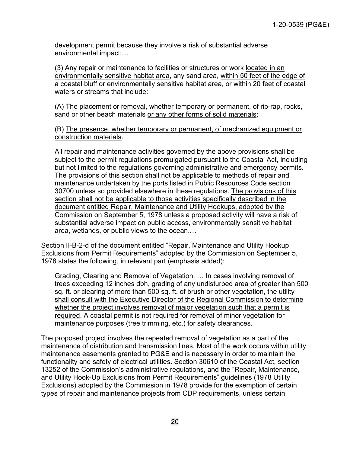development permit because they involve a risk of substantial adverse environmental impact:…

(3) Any repair or maintenance to facilities or structures or work located in an environmentally sensitive habitat area, any sand area, within 50 feet of the edge of a coastal bluff or environmentally sensitive habitat area, or within 20 feet of coastal waters or streams that include:

(A) The placement or removal, whether temporary or permanent, of rip-rap, rocks, sand or other beach materials or any other forms of solid materials;

(B) The presence, whether temporary or permanent, of mechanized equipment or construction materials.

All repair and maintenance activities governed by the above provisions shall be subject to the permit regulations promulgated pursuant to the Coastal Act, including but not limited to the regulations governing administrative and emergency permits. The provisions of this section shall not be applicable to methods of repair and maintenance undertaken by the ports listed in Public Resources Code section 30700 unless so provided elsewhere in these regulations. The provisions of this section shall not be applicable to those activities specifically described in the document entitled Repair, Maintenance and Utility Hookups, adopted by the Commission on September 5, 1978 unless a proposed activity will have a risk of substantial adverse impact on public access, environmentally sensitive habitat area, wetlands, or public views to the ocean.…

Section II-B-2-d of the document entitled "Repair, Maintenance and Utility Hookup Exclusions from Permit Requirements" adopted by the Commission on September 5, 1978 states the following, in relevant part (emphasis added):

Grading, Clearing and Removal of Vegetation. … In cases involving removal of trees exceeding 12 inches dbh, grading of any undisturbed area of greater than 500 sq. ft. or clearing of more than 500 sq. ft. of brush or other vegetation, the utility shall consult with the Executive Director of the Regional Commission to determine whether the project involves removal of major vegetation such that a permit is required. A coastal permit is not required for removal of minor vegetation for maintenance purposes (tree trimming, etc,) for safety clearances.

The proposed project involves the repeated removal of vegetation as a part of the maintenance of distribution and transmission lines. Most of the work occurs within utility maintenance easements granted to PG&E and is necessary in order to maintain the functionality and safety of electrical utilities. Section 30610 of the Coastal Act, section 13252 of the Commission's administrative regulations, and the "Repair, Maintenance, and Utility Hook-Up Exclusions from Permit Requirements" guidelines (1978 Utility Exclusions) adopted by the Commission in 1978 provide for the exemption of certain types of repair and maintenance projects from CDP requirements, unless certain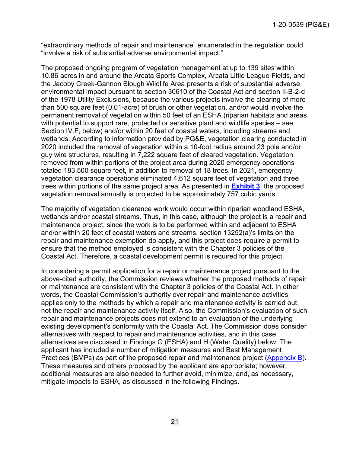"extraordinary methods of repair and maintenance" enumerated in the regulation could "involve a risk of substantial adverse environmental impact."

The proposed ongoing program of vegetation management at up to 139 sites within 10.86 acres in and around the Arcata Sports Complex, Arcata Little League Fields, and the Jacoby Creek-Gannon Slough Wildlife Area presents a risk of substantial adverse environmental impact pursuant to section 30610 of the Coastal Act and section II-B-2-d of the 1978 Utility Exclusions, because the various projects involve the clearing of more than 500 square feet (0.01-acre) of brush or other vegetation, and/or would involve the permanent removal of vegetation within 50 feet of an ESHA (riparian habitats and areas with potential to support rare, protected or sensitive plant and wildlife species – see Section IV.F, below) and/or within 20 feet of coastal waters, including streams and wetlands. According to information provided by PG&E, vegetation clearing conducted in 2020 included the removal of vegetation within a 10-foot radius around 23 pole and/or guy wire structures, resulting in 7,222 square feet of cleared vegetation. Vegetation removed from within portions of the project area during 2020 emergency operations totaled 183,500 square feet, in addition to removal of 18 trees. In 2021, emergency vegetation clearance operations eliminated 4,612 square feet of vegetation and three trees within portions of the same project area. As presented in **[Exhibit 3](https://documents.coastal.ca.gov/reports/2022/6/f8a/f8a-6-2022-exhibits.pdf)**, the proposed vegetation removal annually is projected to be approximately 757 cubic yards.

The majority of vegetation clearance work would occur within riparian woodland ESHA, wetlands and/or coastal streams. Thus, in this case, although the project is a repair and maintenance project, since the work is to be performed within and adjacent to ESHA and/or within 20 feet of coastal waters and streams, section 13252(a)'s limits on the repair and maintenance exemption do apply, and this project does require a permit to ensure that the method employed is consistent with the Chapter 3 policies of the Coastal Act. Therefore, a coastal development permit is required for this project.

In considering a permit application for a repair or maintenance project pursuant to the above-cited authority, the Commission reviews whether the proposed methods of repair or maintenance are consistent with the Chapter 3 policies of the Coastal Act. In other words, the Coastal Commission's authority over repair and maintenance activities applies only to the methods by which a repair and maintenance activity is carried out, not the repair and maintenance activity itself. Also, the Commission's evaluation of such repair and maintenance projects does not extend to an evaluation of the underlying existing development's conformity with the Coastal Act. The Commission does consider alternatives with respect to repair and maintenance activities, and in this case, alternatives are discussed in Findings G (ESHA) and H (Water Quality) below. The applicant has included a number of mitigation measures and Best Management Practices (BMPs) as part of the proposed repair and maintenance project [\(Appendix B\)](https://documents.coastal.ca.gov/reports/2022/6/f8a/f8a-6-2022-appendix.pdf). These measures and others proposed by the applicant are appropriate; however, additional measures are also needed to further avoid, minimize, and, as necessary, mitigate impacts to ESHA, as discussed in the following Findings.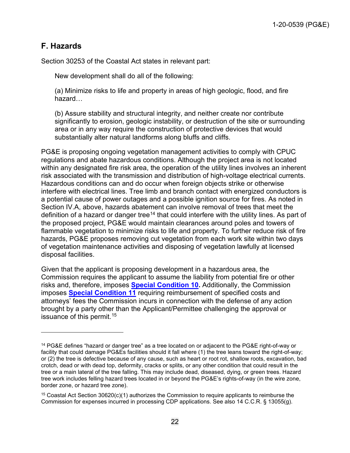# <span id="page-21-0"></span>**F. Hazards**

Section 30253 of the Coastal Act states in relevant part:

New development shall do all of the following:

(a) Minimize risks to life and property in areas of high geologic, flood, and fire hazard…

(b) Assure stability and structural integrity, and neither create nor contribute significantly to erosion, geologic instability, or destruction of the site or surrounding area or in any way require the construction of protective devices that would substantially alter natural landforms along bluffs and cliffs.

PG&E is proposing ongoing vegetation management activities to comply with CPUC regulations and abate hazardous conditions. Although the project area is not located within any designated fire risk area, the operation of the utility lines involves an inherent risk associated with the transmission and distribution of high-voltage electrical currents. Hazardous conditions can and do occur when foreign objects strike or otherwise interfere with electrical lines. Tree limb and branch contact with energized conductors is a potential cause of power outages and a possible ignition source for fires. As noted in Section IV.A, above, hazards abatement can involve removal of trees that meet the definition of a hazard or danger tree<sup>[14](#page-21-1)</sup> that could interfere with the utility lines. As part of the proposed project, PG&E would maintain clearances around poles and towers of flammable vegetation to minimize risks to life and property. To further reduce risk of fire hazards, PG&E proposes removing cut vegetation from each work site within two days of vegetation maintenance activities and disposing of vegetation lawfully at licensed disposal facilities.

Given that the applicant is proposing development in a hazardous area, the Commission requires the applicant to assume the liability from potential fire or other risks and, therefore, imposes **[Special Condition 10.](#page-13-0)** Additionally, the Commission imposes **[Special Condition 11](#page-13-1)** requiring reimbursement of specified costs and attorneys' fees the Commission incurs in connection with the defense of any action brought by a party other than the Applicant/Permittee challenging the approval or issuance of this permit.<sup>[15](#page-21-2)</sup>

<span id="page-21-1"></span><sup>14</sup> PG&E defines "hazard or danger tree" as a tree located on or adjacent to the PG&E right-of-way or facility that could damage PG&Es facilities should it fall where (1) the tree leans toward the right-of-way; or (2) the tree is defective because of any cause, such as heart or root rot, shallow roots, excavation, bad crotch, dead or with dead top, deformity, cracks or splits, or any other condition that could result in the tree or a main lateral of the tree falling. This may include dead, diseased, dying, or green trees. Hazard tree work includes felling hazard trees located in or beyond the PG&E's rights-of-way (in the wire zone, border zone, or hazard tree zone).

<span id="page-21-2"></span><sup>15</sup> Coastal Act Section 30620(c)(1) authorizes the Commission to require applicants to reimburse the Commission for expenses incurred in processing CDP applications. See also 14 C.C.R. § 13055(g).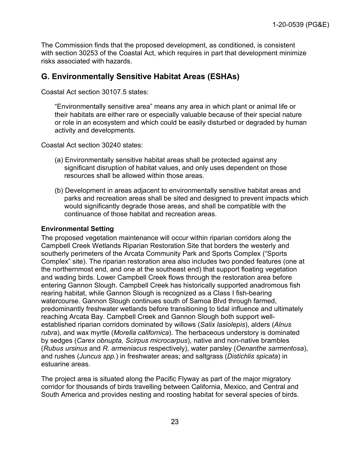The Commission finds that the proposed development, as conditioned, is consistent with section 30253 of the Coastal Act, which requires in part that development minimize risks associated with hazards.

### <span id="page-22-0"></span>**G. Environmentally Sensitive Habitat Areas (ESHAs)**

Coastal Act section 30107.5 states:

"Environmentally sensitive area" means any area in which plant or animal life or their habitats are either rare or especially valuable because of their special nature or role in an ecosystem and which could be easily disturbed or degraded by human activity and developments.

Coastal Act section 30240 states:

- (a) Environmentally sensitive habitat areas shall be protected against any significant disruption of habitat values, and only uses dependent on those resources shall be allowed within those areas.
- (b) Development in areas adjacent to environmentally sensitive habitat areas and parks and recreation areas shall be sited and designed to prevent impacts which would significantly degrade those areas, and shall be compatible with the continuance of those habitat and recreation areas.

#### <span id="page-22-1"></span>**Environmental Setting**

The proposed vegetation maintenance will occur within riparian corridors along the Campbell Creek Wetlands Riparian Restoration Site that borders the westerly and southerly perimeters of the Arcata Community Park and Sports Complex ("Sports Complex" site). The riparian restoration area also includes two ponded features (one at the northernmost end, and one at the southeast end) that support floating vegetation and wading birds. Lower Campbell Creek flows through the restoration area before entering Gannon Slough. Campbell Creek has historically supported anadromous fish rearing habitat, while Gannon Slough is recognized as a Class I fish-bearing watercourse. Gannon Slough continues south of Samoa Blvd through farmed, predominantly freshwater wetlands before transitioning to tidal influence and ultimately reaching Arcata Bay. Campbell Creek and Gannon Slough both support wellestablished riparian corridors dominated by willows (*Salix lasiolepis*), alders (*Alnus rubra*), and wax myrtle (*Morella californica*). The herbaceous understory is dominated by sedges (*Carex obnupta, Scirpus microcarpus*), native and non-native brambles (*Rubus ursinus* and *R. armeniacus* respectively), water parsley (*Oenanthe sarmentosa*), and rushes (*Juncus spp.*) in freshwater areas; and saltgrass (*Distichlis spicata*) in estuarine areas.

The project area is situated along the Pacific Flyway as part of the major migratory corridor for thousands of birds travelling between California, Mexico, and Central and South America and provides nesting and roosting habitat for several species of birds.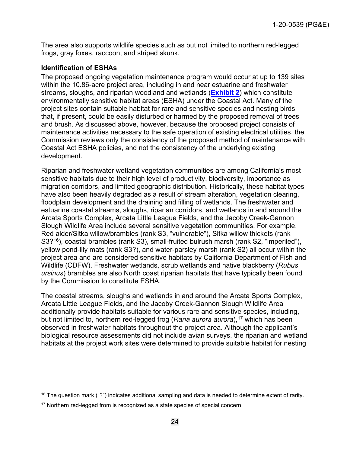The area also supports wildlife species such as but not limited to northern red-legged frogs, gray foxes, raccoon, and striped skunk.

#### **Identification of ESHAs**

The proposed ongoing vegetation maintenance program would occur at up to 139 sites within the 10.86-acre project area, including in and near estuarine and freshwater streams, sloughs, and riparian woodland and wetlands (**[Exhibit 2](https://documents.coastal.ca.gov/reports/2022/6/f8a/f8a-6-2022-exhibits.pdf)**) which constitute environmentally sensitive habitat areas (ESHA) under the Coastal Act. Many of the project sites contain suitable habitat for rare and sensitive species and nesting birds that, if present, could be easily disturbed or harmed by the proposed removal of trees and brush. As discussed above, however, because the proposed project consists of maintenance activities necessary to the safe operation of existing electrical utilities, the Commission reviews only the consistency of the proposed method of maintenance with Coastal Act ESHA policies, and not the consistency of the underlying existing development.

Riparian and freshwater wetland vegetation communities are among California's most sensitive habitats due to their high level of productivity, biodiversity, importance as migration corridors, and limited geographic distribution. Historically, these habitat types have also been heavily degraded as a result of stream alteration, vegetation clearing, floodplain development and the draining and filling of wetlands. The freshwater and estuarine coastal streams, sloughs, riparian corridors, and wetlands in and around the Arcata Sports Complex, Arcata Little League Fields, and the Jacoby Creek-Gannon Slough Wildlife Area include several sensitive vegetation communities. For example, Red alder/Sitka willow/brambles (rank S3, "vulnerable"), Sitka willow thickets (rank S3?[16\)](#page-23-0), coastal brambles (rank S3), small-fruited bulrush marsh (rank S2, "imperiled"), yellow pond-lily mats (rank S3?), and water-parsley marsh (rank S2) all occur within the project area and are considered sensitive habitats by California Department of Fish and Wildlife (CDFW). Freshwater wetlands, scrub wetlands and native blackberry (*Rubus ursinus*) brambles are also North coast riparian habitats that have typically been found by the Commission to constitute ESHA.

The coastal streams, sloughs and wetlands in and around the Arcata Sports Complex, Arcata Little League Fields, and the Jacoby Creek-Gannon Slough Wildlife Area additionally provide habitats suitable for various rare and sensitive species, including, but not limited to, northern red-legged frog (*Rana aurora aurora*),<sup>[17](#page-23-1)</sup> which has been observed in freshwater habitats throughout the project area. Although the applicant's biological resource assessments did not include avian surveys, the riparian and wetland habitats at the project work sites were determined to provide suitable habitat for nesting

<span id="page-23-0"></span> $16$  The question mark ("?") indicates additional sampling and data is needed to determine extent of rarity.

<span id="page-23-1"></span><sup>&</sup>lt;sup>17</sup> Northern red-legged from is recognized as a state species of special concern.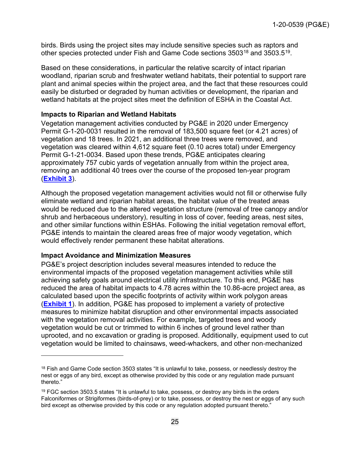birds. Birds using the project sites may include sensitive species such as raptors and other species protected under Fish and Game Code sections 3503[18](#page-24-0) and 3503.5[19.](#page-24-1)

Based on these considerations, in particular the relative scarcity of intact riparian woodland, riparian scrub and freshwater wetland habitats, their potential to support rare plant and animal species within the project area, and the fact that these resources could easily be disturbed or degraded by human activities or development, the riparian and wetland habitats at the project sites meet the definition of ESHA in the Coastal Act.

#### **Impacts to Riparian and Wetland Habitats**

Vegetation management activities conducted by PG&E in 2020 under Emergency Permit G-1-20-0031 resulted in the removal of 183,500 square feet (or 4.21 acres) of vegetation and 18 trees. In 2021, an additional three trees were removed, and vegetation was cleared within 4,612 square feet (0.10 acres total) under Emergency Permit G-1-21-0034. Based upon these trends, PG&E anticipates clearing approximately 757 cubic yards of vegetation annually from within the project area, removing an additional 40 trees over the course of the proposed ten-year program (**[Exhibit 3](https://documents.coastal.ca.gov/reports/2022/6/f8a/f8a-6-2022-exhibits.pdf)**).

Although the proposed vegetation management activities would not fill or otherwise fully eliminate wetland and riparian habitat areas, the habitat value of the treated areas would be reduced due to the altered vegetation structure (removal of tree canopy and/or shrub and herbaceous understory), resulting in loss of cover, feeding areas, nest sites, and other similar functions within ESHAs. Following the initial vegetation removal effort, PG&E intends to maintain the cleared areas free of major woody vegetation, which would effectively render permanent these habitat alterations.

#### **Impact Avoidance and Minimization Measures**

PG&E's project description includes several measures intended to reduce the environmental impacts of the proposed vegetation management activities while still achieving safety goals around electrical utility infrastructure. To this end, PG&E has reduced the area of habitat impacts to 4.78 acres within the 10.86-acre project area, as calculated based upon the specific footprints of activity within work polygon areas (**[Exhibit 1](https://documents.coastal.ca.gov/reports/2022/6/f8a/f8a-6-2022-exhibits.pdf)**). In addition, PG&E has proposed to implement a variety of protective measures to minimize habitat disruption and other environmental impacts associated with the vegetation removal activities. For example, targeted trees and woody vegetation would be cut or trimmed to within 6 inches of ground level rather than uprooted, and no excavation or grading is proposed. Additionally, equipment used to cut vegetation would be limited to chainsaws, weed-whackers, and other non‐mechanized

<span id="page-24-0"></span><sup>&</sup>lt;sup>18</sup> Fish and Game Code section 3503 states "It is unlawful to take, possess, or needlessly destroy the nest or eggs of any bird, except as otherwise provided by this code or any regulation made pursuant thereto."

<span id="page-24-1"></span><sup>&</sup>lt;sup>19</sup> FGC section 3503.5 states "It is unlawful to take, possess, or destroy any birds in the orders Falconiformes or Strigiformes (birds-of-prey) or to take, possess, or destroy the nest or eggs of any such bird except as otherwise provided by this code or any regulation adopted pursuant thereto."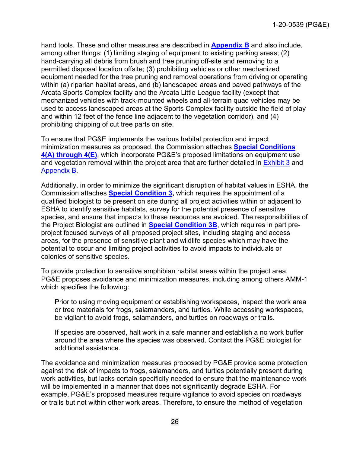hand tools. These and other measures are described in **[Appendix B](https://documents.coastal.ca.gov/reports/2022/6/f8a/f8a-6-2022-appendix.pdf)** and also include, among other things: (1) limiting staging of equipment to existing parking areas; (2) hand-carrying all debris from brush and tree pruning off-site and removing to a permitted disposal location offsite; (3) prohibiting vehicles or other mechanized equipment needed for the tree pruning and removal operations from driving or operating within (a) riparian habitat areas, and (b) landscaped areas and paved pathways of the Arcata Sports Complex facility and the Arcata Little League facility (except that mechanized vehicles with track‐mounted wheels and all‐terrain quad vehicles may be used to access landscaped areas at the Sports Complex facility outside the field of play and within 12 feet of the fence line adjacent to the vegetation corridor), and (4) prohibiting chipping of cut tree parts on site.

To ensure that PG&E implements the various habitat protection and impact minimization measures as proposed, the Commission attaches **[Special Conditions](#page-5-0)  [4\(A\) through 4\(E\)](#page-5-0)**, which incorporate PG&E's proposed limitations on equipment use and vegetation removal within the project area that are further detailed in [Exhibit 3](https://documents.coastal.ca.gov/reports/2022/6/f8a/f8a-6-2022-exhibits.pdf) and [Appendix B.](https://documents.coastal.ca.gov/reports/2022/6/f8a/f8a-6-2022-appendix.pdf)

Additionally, in order to minimize the significant disruption of habitat values in ESHA, the Commission attaches **[Special Condition 3,](#page-4-2)** which requires the appointment of a qualified biologist to be present on site during all project activities within or adjacent to ESHA to identify sensitive habitats, survey for the potential presence of sensitive species, and ensure that impacts to these resources are avoided. The responsibilities of the Project Biologist are outlined in **[Special Condition 3B](#page-4-2)**, which requires in part preproject focused surveys of all proposed project sites, including staging and access areas, for the presence of sensitive plant and wildlife species which may have the potential to occur and limiting project activities to avoid impacts to individuals or colonies of sensitive species.

To provide protection to sensitive amphibian habitat areas within the project area, PG&E proposes avoidance and minimization measures, including among others AMM-1 which specifies the following:

Prior to using moving equipment or establishing workspaces, inspect the work area or tree materials for frogs, salamanders, and turtles. While accessing workspaces, be vigilant to avoid frogs, salamanders, and turtles on roadways or trails.

If species are observed, halt work in a safe manner and establish a no work buffer around the area where the species was observed. Contact the PG&E biologist for additional assistance.

The avoidance and minimization measures proposed by PG&E provide some protection against the risk of impacts to frogs, salamanders, and turtles potentially present during work activities, but lacks certain specificity needed to ensure that the maintenance work will be implemented in a manner that does not significantly degrade ESHA. For example, PG&E's proposed measures require vigilance to avoid species on roadways or trails but not within other work areas. Therefore, to ensure the method of vegetation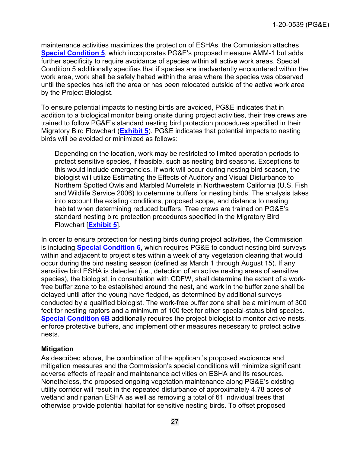maintenance activities maximizes the protection of ESHAs, the Commission attaches **[Special Condition 5](#page-7-0)**, which incorporates PG&E's proposed measure AMM-1 but adds further specificity to require avoidance of species within all active work areas. Special Condition 5 additionally specifies that if species are inadvertently encountered within the work area, work shall be safely halted within the area where the species was observed until the species has left the area or has been relocated outside of the active work area by the Project Biologist.

To ensure potential impacts to nesting birds are avoided, PG&E indicates that in addition to a biological monitor being onsite during project activities, their tree crews are trained to follow PG&E's standard nesting bird protection procedures specified in their Migratory Bird Flowchart (**[Exhibit 5](https://documents.coastal.ca.gov/reports/2022/6/f8a/f8a-6-2022-exhibits.pdf)**). PG&E indicates that potential impacts to nesting birds will be avoided or minimized as follows:

Depending on the location, work may be restricted to limited operation periods to protect sensitive species, if feasible, such as nesting bird seasons. Exceptions to this would include emergencies. If work will occur during nesting bird season, the biologist will utilize Estimating the Effects of Auditory and Visual Disturbance to Northern Spotted Owls and Marbled Murrelets in Northwestern California (U.S. Fish and Wildlife Service 2006) to determine buffers for nesting birds. The analysis takes into account the existing conditions, proposed scope, and distance to nesting habitat when determining reduced buffers. Tree crews are trained on PG&E's standard nesting bird protection procedures specified in the Migratory Bird Flowchart [**[Exhibit 5](https://documents.coastal.ca.gov/reports/2022/6/f8a/f8a-6-2022-exhibits.pdf)**].

In order to ensure protection for nesting birds during project activities, the Commission is including **[Special Condition 6](#page-8-0)**, which requires PG&E to conduct nesting bird surveys within and adjacent to project sites within a week of any vegetation clearing that would occur during the bird nesting season (defined as March 1 through August 15). If any sensitive bird ESHA is detected (i.e., detection of an active nesting areas of sensitive species), the biologist, in consultation with CDFW, shall determine the extent of a workfree buffer zone to be established around the nest, and work in the buffer zone shall be delayed until after the young have fledged, as determined by additional surveys conducted by a qualified biologist. The work-free buffer zone shall be a minimum of 300 feet for nesting raptors and a minimum of 100 feet for other special-status bird species. **[Special Condition 6B](#page-8-0)** additionally requires the project biologist to monitor active nests, enforce protective buffers, and implement other measures necessary to protect active nests.

### **Mitigation**

As described above, the combination of the applicant's proposed avoidance and mitigation measures and the Commission's special conditions will minimize significant adverse effects of repair and maintenance activities on ESHA and its resources. Nonetheless, the proposed ongoing vegetation maintenance along PG&E's existing utility corridor will result in the repeated disturbance of approximately 4.78 acres of wetland and riparian ESHA as well as removing a total of 61 individual trees that otherwise provide potential habitat for sensitive nesting birds. To offset proposed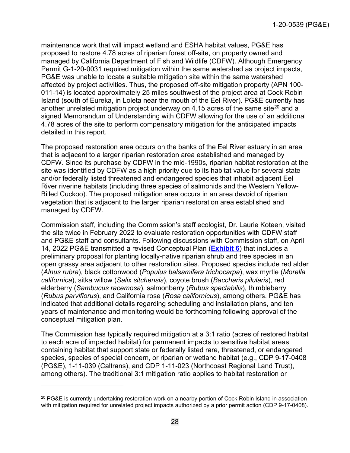maintenance work that will impact wetland and ESHA habitat values, PG&E has proposed to restore 4.78 acres of riparian forest off-site, on property owned and managed by California Department of Fish and Wildlife (CDFW). Although Emergency Permit G-1-20-0031 required mitigation within the same watershed as project impacts, PG&E was unable to locate a suitable mitigation site within the same watershed affected by project activities. Thus, the proposed off-site mitigation property (APN 100- 011-14) is located approximately 25 miles southwest of the project area at Cock Robin Island (south of Eureka, in Loleta near the mouth of the Eel River). PG&E currently has another unrelated mitigation project underway on 4.15 acres of the same site<sup>[20](#page-27-0)</sup> and a signed Memorandum of Understanding with CDFW allowing for the use of an additional 4.78 acres of the site to perform compensatory mitigation for the anticipated impacts detailed in this report.

The proposed restoration area occurs on the banks of the Eel River estuary in an area that is adjacent to a larger riparian restoration area established and managed by CDFW. Since its purchase by CDFW in the mid-1990s, riparian habitat restoration at the site was identified by CDFW as a high priority due to its habitat value for several state and/or federally listed threatened and endangered species that inhabit adjacent Eel River riverine habitats (including three species of salmonids and the Western Yellow-Billed Cuckoo). The proposed mitigation area occurs in an area devoid of riparian vegetation that is adjacent to the larger riparian restoration area established and managed by CDFW.

Commission staff, including the Commission's staff ecologist, Dr. Laurie Koteen, visited the site twice in February 2022 to evaluate restoration opportunities with CDFW staff and PG&E staff and consultants. Following discussions with Commission staff, on April 14, 2022 PG&E transmitted a revised Conceptual Plan (**[Exhibit 6](https://documents.coastal.ca.gov/reports/2022/6/f8a/f8a-6-2022-exhibits.pdf)**) that includes a preliminary proposal for planting locally-native riparian shrub and tree species in an open grassy area adjacent to other restoration sites. Proposed species include red alder (*Alnus rubra*), black cottonwood (*Populus balsamifera trichocarpa*), wax myrtle (*Morella californica*), sitka willow (*Salix sitchensis*), coyote brush (*Baccharis pilularis*), red elderberry (*Sambucus racemosa*), salmonberry (*Rubus spectabilis*), thimbleberry (*Rubus parviflorus*), and California rose (*Rosa californicus*), among others. PG&E has indicated that additional details regarding scheduling and installation plans, and ten years of maintenance and monitoring would be forthcoming following approval of the conceptual mitigation plan.

The Commission has typically required mitigation at a 3:1 ratio (acres of restored habitat to each acre of impacted habitat) for permanent impacts to sensitive habitat areas containing habitat that support state or federally listed rare, threatened, or endangered species, species of special concern, or riparian or wetland habitat (e.g., CDP 9-17-0408 (PG&E), 1-11-039 (Caltrans), and CDP 1-11-023 (Northcoast Regional Land Trust), among others). The traditional 3:1 mitigation ratio applies to habitat restoration or

<span id="page-27-0"></span><sup>&</sup>lt;sup>20</sup> PG&E is currently undertaking restoration work on a nearby portion of Cock Robin Island in association with mitigation required for unrelated project impacts authorized by a prior permit action (CDP 9-17-0408).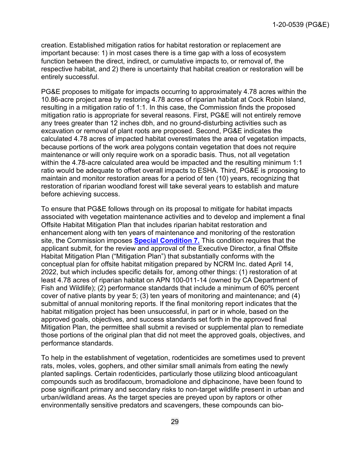creation. Established mitigation ratios for habitat restoration or replacement are important because: 1) in most cases there is a time gap with a loss of ecosystem function between the direct, indirect, or cumulative impacts to, or removal of, the respective habitat, and 2) there is uncertainty that habitat creation or restoration will be entirely successful.

PG&E proposes to mitigate for impacts occurring to approximately 4.78 acres within the 10.86-acre project area by restoring 4.78 acres of riparian habitat at Cock Robin Island, resulting in a mitigation ratio of 1:1. In this case, the Commission finds the proposed mitigation ratio is appropriate for several reasons. First, PG&E will not entirely remove any trees greater than 12 inches dbh, and no ground-disturbing activities such as excavation or removal of plant roots are proposed. Second, PG&E indicates the calculated 4.78 acres of impacted habitat overestimates the area of vegetation impacts, because portions of the work area polygons contain vegetation that does not require maintenance or will only require work on a sporadic basis. Thus, not all vegetation within the 4.78-acre calculated area would be impacted and the resulting minimum 1:1 ratio would be adequate to offset overall impacts to ESHA. Third, PG&E is proposing to maintain and monitor restoration areas for a period of ten (10) years, recognizing that restoration of riparian woodland forest will take several years to establish and mature before achieving success.

To ensure that PG&E follows through on its proposal to mitigate for habitat impacts associated with vegetation maintenance activities and to develop and implement a final Offsite Habitat Mitigation Plan that includes riparian habitat restoration and enhancement along with ten years of maintenance and monitoring of the restoration site, the Commission imposes **[Special Condition 7.](#page-12-0)** This condition requires that the applicant submit, for the review and approval of the Executive Director, a final Offsite Habitat Mitigation Plan ("Mitigation Plan") that substantially conforms with the conceptual plan for offsite habitat mitigation prepared by NCRM Inc. dated April 14, 2022, but which includes specific details for, among other things: (1) restoration of at least 4.78 acres of riparian habitat on APN 100-011-14 (owned by CA Department of Fish and Wildlife); (2) performance standards that include a minimum of 60% percent cover of native plants by year 5; (3) ten years of monitoring and maintenance; and (4) submittal of annual monitoring reports. If the final monitoring report indicates that the habitat mitigation project has been unsuccessful, in part or in whole, based on the approved goals, objectives, and success standards set forth in the approved final Mitigation Plan, the permittee shall submit a revised or supplemental plan to remediate those portions of the original plan that did not meet the approved goals, objectives, and performance standards.

To help in the establishment of vegetation, rodenticides are sometimes used to prevent rats, moles, voles, gophers, and other similar small animals from eating the newly planted saplings. Certain rodenticides, particularly those utilizing blood anticoagulant compounds such as brodifacoum, bromadiolone and diphacinone, have been found to pose significant primary and secondary risks to non-target wildlife present in urban and urban/wildland areas. As the target species are preyed upon by raptors or other environmentally sensitive predators and scavengers, these compounds can bio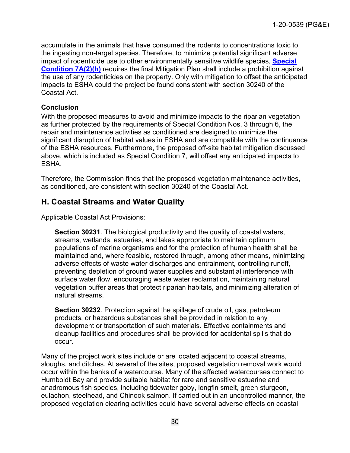accumulate in the animals that have consumed the rodents to concentrations toxic to the ingesting non-target species. Therefore, to minimize potential significant adverse impact of rodenticide use to other environmentally sensitive wildlife species, **[Special](#page-10-0) [Condition 7A\(2\)\(h\)](#page-10-0)** requires the final Mitigation Plan shall include a prohibition against the use of any rodenticides on the property. Only with mitigation to offset the anticipated impacts to ESHA could the project be found consistent with section 30240 of the Coastal Act.

#### **Conclusion**

With the proposed measures to avoid and minimize impacts to the riparian vegetation as further protected by the requirements of Special Condition Nos. 3 through 6, the repair and maintenance activities as conditioned are designed to minimize the significant disruption of habitat values in ESHA and are compatible with the continuance of the ESHA resources. Furthermore, the proposed off-site habitat mitigation discussed above, which is included as Special Condition 7, will offset any anticipated impacts to ESHA.

Therefore, the Commission finds that the proposed vegetation maintenance activities, as conditioned, are consistent with section 30240 of the Coastal Act.

# <span id="page-29-0"></span>**H. Coastal Streams and Water Quality**

Applicable Coastal Act Provisions:

**Section 30231**. The biological productivity and the quality of coastal waters, streams, wetlands, estuaries, and lakes appropriate to maintain optimum populations of marine organisms and for the protection of human health shall be maintained and, where feasible, restored through, among other means, minimizing adverse effects of waste water discharges and entrainment, controlling runoff, preventing depletion of ground water supplies and substantial interference with surface water flow, encouraging waste water reclamation, maintaining natural vegetation buffer areas that protect riparian habitats, and minimizing alteration of natural streams.

**Section 30232**. Protection against the spillage of crude oil, gas, petroleum products, or hazardous substances shall be provided in relation to any development or transportation of such materials. Effective containments and cleanup facilities and procedures shall be provided for accidental spills that do occur.

Many of the project work sites include or are located adjacent to coastal streams, sloughs, and ditches. At several of the sites, proposed vegetation removal work would occur within the banks of a watercourse. Many of the affected watercourses connect to Humboldt Bay and provide suitable habitat for rare and sensitive estuarine and anadromous fish species, including tidewater goby, longfin smelt, green sturgeon, eulachon, steelhead, and Chinook salmon. If carried out in an uncontrolled manner, the proposed vegetation clearing activities could have several adverse effects on coastal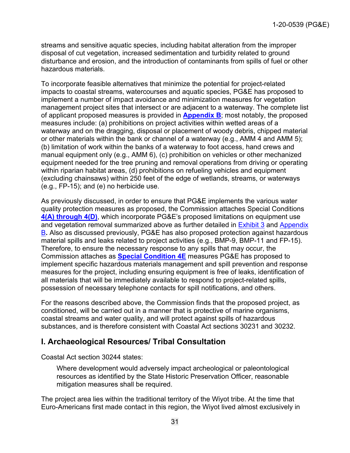streams and sensitive aquatic species, including habitat alteration from the improper disposal of cut vegetation, increased sedimentation and turbidity related to ground disturbance and erosion, and the introduction of contaminants from spills of fuel or other hazardous materials.

To incorporate feasible alternatives that minimize the potential for project-related impacts to coastal streams, watercourses and aquatic species, PG&E has proposed to implement a number of impact avoidance and minimization measures for vegetation management project sites that intersect or are adjacent to a waterway. The complete list of applicant proposed measures is provided in **[Appendix B](https://documents.coastal.ca.gov/reports/2022/6/f8a/f8a-6-2022-appendix.pdf)**; most notably, the proposed measures include: (a) prohibitions on project activities within wetted areas of a waterway and on the dragging, disposal or placement of woody debris, chipped material or other materials within the bank or channel of a waterway (e.g., AMM 4 and AMM 5); (b) limitation of work within the banks of a waterway to foot access, hand crews and manual equipment only (e.g., AMM 6), (c) prohibition on vehicles or other mechanized equipment needed for the tree pruning and removal operations from driving or operating within riparian habitat areas, (d) prohibitions on refueling vehicles and equipment (excluding chainsaws) within 250 feet of the edge of wetlands, streams, or waterways (e.g., FP-15); and (e) no herbicide use.

As previously discussed, in order to ensure that PG&E implements the various water quality protection measures as proposed, the Commission attaches Special Conditions **4(A) [through 4\(D\)](#page-5-0)**, which incorporate PG&E's proposed limitations on equipment use and vegetation removal summarized above as further detailed in [Exhibit 3](https://documents.coastal.ca.gov/reports/2022/6/f8a/f8a-6-2022-exhibits.pdf) and [Appendix](https://documents.coastal.ca.gov/reports/2022/6/f8a/f8a-6-2022-appendix.pdf)  [B](https://documents.coastal.ca.gov/reports/2022/6/f8a/f8a-6-2022-appendix.pdf)**.** Also as discussed previously, PG&E has also proposed protection against hazardous material spills and leaks related to project activities (e.g., BMP-9, BMP-11 and FP-15). Therefore, to ensure the necessary response to any spills that may occur, the Commission attaches as **[Special Condition 4E](#page-5-0)** measures PG&E has proposed to implement specific hazardous materials management and spill prevention and response measures for the project, including ensuring equipment is free of leaks, identification of all materials that will be immediately available to respond to project-related spills, possession of necessary telephone contacts for spill notifications, and others.

For the reasons described above, the Commission finds that the proposed project, as conditioned, will be carried out in a manner that is protective of marine organisms, coastal streams and water quality, and will protect against spills of hazardous substances, and is therefore consistent with Coastal Act sections 30231 and 30232.

# <span id="page-30-0"></span>**I. Archaeological Resources/ Tribal Consultation**

Coastal Act section 30244 states:

Where development would adversely impact archeological or paleontological resources as identified by the State Historic Preservation Officer, reasonable mitigation measures shall be required.

The project area lies within the traditional territory of the Wiyot tribe. At the time that Euro-Americans first made contact in this region, the Wiyot lived almost exclusively in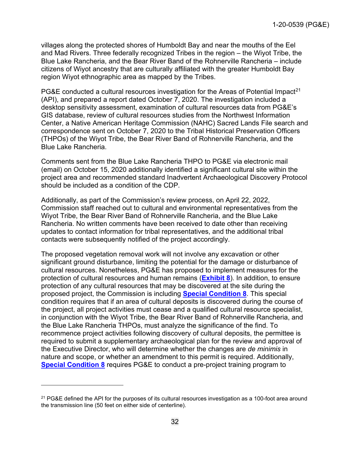villages along the protected shores of Humboldt Bay and near the mouths of the Eel and Mad Rivers. Three federally recognized Tribes in the region – the Wiyot Tribe, the Blue Lake Rancheria, and the Bear River Band of the Rohnerville Rancheria – include citizens of Wiyot ancestry that are culturally affiliated with the greater Humboldt Bay region Wiyot ethnographic area as mapped by the Tribes.

PG&E conducted a cultural resources investigation for the Areas of Potential Impact<sup>21</sup> (API), and prepared a report dated October 7, 2020. The investigation included a desktop sensitivity assessment, examination of cultural resources data from PG&E's GIS database, review of cultural resources studies from the Northwest Information Center, a Native American Heritage Commission (NAHC) Sacred Lands File search and correspondence sent on October 7, 2020 to the Tribal Historical Preservation Officers (THPOs) of the Wiyot Tribe, the Bear River Band of Rohnerville Rancheria, and the Blue Lake Rancheria.

Comments sent from the Blue Lake Rancheria THPO to PG&E via electronic mail (email) on October 15, 2020 additionally identified a significant cultural site within the project area and recommended standard Inadvertent Archaeological Discovery Protocol should be included as a condition of the CDP.

Additionally, as part of the Commission's review process, on April 22, 2022, Commission staff reached out to cultural and environmental representatives from the Wiyot Tribe, the Bear River Band of Rohnerville Rancheria, and the Blue Lake Rancheria. No written comments have been received to date other than receiving updates to contact information for tribal representatives, and the additional tribal contacts were subsequently notified of the project accordingly.

The proposed vegetation removal work will not involve any excavation or other significant ground disturbance, limiting the potential for the damage or disturbance of cultural resources. Nonetheless, PG&E has proposed to implement measures for the protection of cultural resources and human remains (**Exhibit 8**). In addition, to ensure protection of any cultural resources that may be discovered at the site during the proposed project, the Commission is including **Special Condition 8**. This special condition requires that if an area of cultural deposits is discovered during the course of the project, all project activities must cease and a qualified cultural resource specialist, in conjunction with the Wiyot Tribe, the Bear River Band of Rohnerville Rancheria, and the Blue Lake Rancheria THPOs, must analyze the significance of the find. To recommence project activities following discovery of cultural deposits, the permittee is required to submit a supplementary archaeological plan for the review and approval of the Executive Director, who will determine whether the changes are *de minimis* in nature and scope, or whether an amendment to this permit is required. Additionally, **Special Condition 8** requires PG&E to conduct a pre-project training program to

<span id="page-31-0"></span><sup>&</sup>lt;sup>21</sup> PG&E defined the API for the purposes of its cultural resources investigation as a 100-foot area around the transmission line (50 feet on either side of centerline).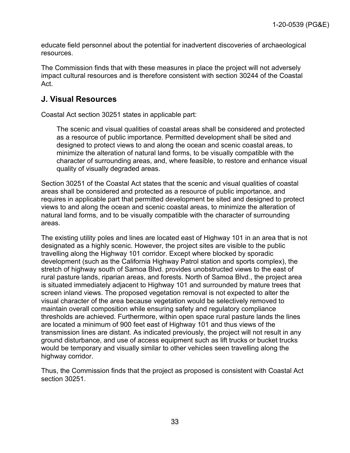educate field personnel about the potential for inadvertent discoveries of archaeological resources.

The Commission finds that with these measures in place the project will not adversely impact cultural resources and is therefore consistent with section 30244 of the Coastal Act.

# <span id="page-32-0"></span>**J. Visual Resources**

Coastal Act section 30251 states in applicable part:

The scenic and visual qualities of coastal areas shall be considered and protected as a resource of public importance. Permitted development shall be sited and designed to protect views to and along the ocean and scenic coastal areas, to minimize the alteration of natural land forms, to be visually compatible with the character of surrounding areas, and, where feasible, to restore and enhance visual quality of visually degraded areas.

Section 30251 of the Coastal Act states that the scenic and visual qualities of coastal areas shall be considered and protected as a resource of public importance, and requires in applicable part that permitted development be sited and designed to protect views to and along the ocean and scenic coastal areas, to minimize the alteration of natural land forms, and to be visually compatible with the character of surrounding areas.

The existing utility poles and lines are located east of Highway 101 in an area that is not designated as a highly scenic. However, the project sites are visible to the public travelling along the Highway 101 corridor. Except where blocked by sporadic development (such as the California Highway Patrol station and sports complex), the stretch of highway south of Samoa Blvd. provides unobstructed views to the east of rural pasture lands, riparian areas, and forests. North of Samoa Blvd., the project area is situated immediately adjacent to Highway 101 and surrounded by mature trees that screen inland views. The proposed vegetation removal is not expected to alter the visual character of the area because vegetation would be selectively removed to maintain overall composition while ensuring safety and regulatory compliance thresholds are achieved. Furthermore, within open space rural pasture lands the lines are located a minimum of 900 feet east of Highway 101 and thus views of the transmission lines are distant. As indicated previously, the project will not result in any ground disturbance, and use of access equipment such as lift trucks or bucket trucks would be temporary and visually similar to other vehicles seen travelling along the highway corridor.

Thus, the Commission finds that the project as proposed is consistent with Coastal Act section 30251.